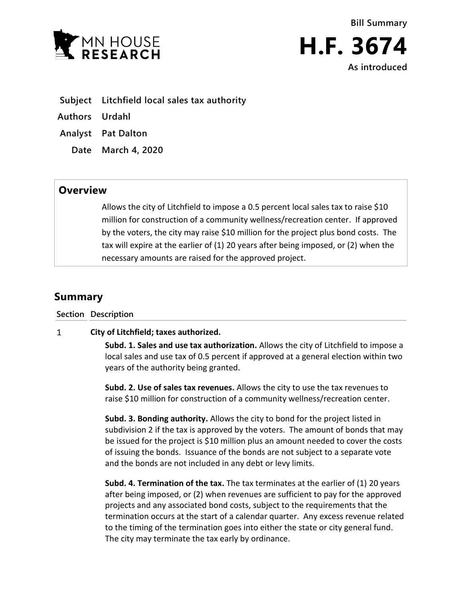



- **Subject Litchfield local sales tax authority**
- **Authors Urdahl**
- **Analyst Pat Dalton**
	- **Date March 4, 2020**

## **Overview**

Allows the city of Litchfield to impose a 0.5 percent local sales tax to raise \$10 million for construction of a community wellness/recreation center. If approved by the voters, the city may raise \$10 million for the project plus bond costs. The tax will expire at the earlier of (1) 20 years after being imposed, or (2) when the necessary amounts are raised for the approved project.

## **Summary**

## **Section Description**

## $\mathbf{1}$ **City of Litchfield; taxes authorized.**

**Subd. 1. Sales and use tax authorization.** Allows the city of Litchfield to impose a local sales and use tax of 0.5 percent if approved at a general election within two years of the authority being granted.

**Subd. 2. Use of sales tax revenues.** Allows the city to use the tax revenues to raise \$10 million for construction of a community wellness/recreation center.

**Subd. 3. Bonding authority.** Allows the city to bond for the project listed in subdivision 2 if the tax is approved by the voters. The amount of bonds that may be issued for the project is \$10 million plus an amount needed to cover the costs of issuing the bonds. Issuance of the bonds are not subject to a separate vote and the bonds are not included in any debt or levy limits.

**Subd. 4. Termination of the tax.** The tax terminates at the earlier of (1) 20 years after being imposed, or (2) when revenues are sufficient to pay for the approved projects and any associated bond costs, subject to the requirements that the termination occurs at the start of a calendar quarter. Any excess revenue related to the timing of the termination goes into either the state or city general fund. The city may terminate the tax early by ordinance.